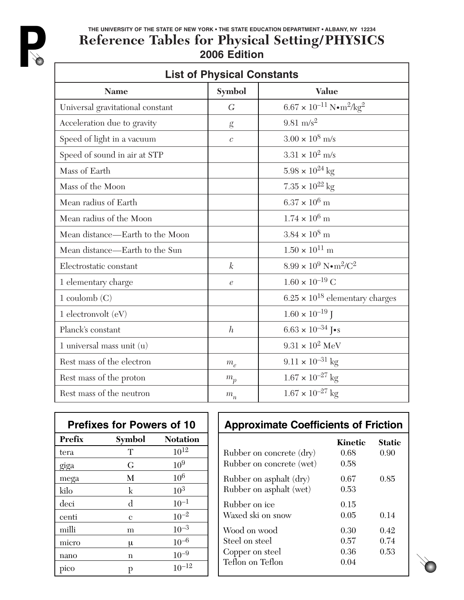

## **THE UNIVERSITY OF THE STATE OF NEW YORK • THE STATE EDUCATION DEPARTMENT • ALBANY, NY 12234 Reference Tables for Physical Setting/PHYSICS 2006 Edition**

| <b>List of Physical Constants</b> |                             |                                                               |
|-----------------------------------|-----------------------------|---------------------------------------------------------------|
| <b>Name</b>                       | Symbol                      | <b>Value</b>                                                  |
| Universal gravitational constant  | $\overline{G}$              | $6.67 \times 10^{-11} \text{ N} \cdot \text{m}^2/\text{kg}^2$ |
| Acceleration due to gravity       | g                           | $9.81 \text{ m/s}^2$                                          |
| Speed of light in a vacuum        | $\mathcal{C}$               | $3.00 \times 10^8$ m/s                                        |
| Speed of sound in air at STP      |                             | $3.31 \times 10^2$ m/s                                        |
| Mass of Earth                     |                             | $5.98 \times 10^{24}$ kg                                      |
| Mass of the Moon                  |                             | $7.35 \times 10^{22}$ kg                                      |
| Mean radius of Earth              |                             | $6.37 \times 10^6$ m                                          |
| Mean radius of the Moon           |                             | $1.74 \times 10^6$ m                                          |
| Mean distance—Earth to the Moon   |                             | $3.84 \times 10^8$ m                                          |
| Mean distance—Earth to the Sun    |                             | $1.50 \times 10^{11}$ m                                       |
| Electrostatic constant            | $\boldsymbol{k}$            | $8.99 \times 10^9 \text{ N} \cdot \text{m}^2/\text{C}^2$      |
| 1 elementary charge               | $\mathcal{C}_{\mathcal{C}}$ | $1.60 \times 10^{-19}$ C                                      |
| $1$ coulomb $(C)$                 |                             | $6.25 \times 10^{18}$ elementary charges                      |
| 1 electronvolt $(eV)$             |                             | $1.60 \times 10^{-19}$ J                                      |
| Planck's constant                 | $\boldsymbol{h}$            | $6.63 \times 10^{-34}$ J•s                                    |
| 1 universal mass unit $(u)$       |                             | $9.31 \times 10^2$ MeV                                        |
| Rest mass of the electron         | $m_e$                       | $9.11 \times 10^{-31}$ kg                                     |
| Rest mass of the proton           | $m_p$                       | $1.67 \times 10^{-27}$ kg                                     |
| Rest mass of the neutron          | $m_n$                       | $1.67 \times 10^{-27}$ kg                                     |

| <b>Prefixes for Powers of 10</b> |              |                 |
|----------------------------------|--------------|-----------------|
| <b>Prefix</b>                    | Symbol       | <b>Notation</b> |
| tera                             | T            | $10^{12}$       |
| giga                             | G            | $10^9$          |
| mega                             | M            | 10 <sup>6</sup> |
| kilo                             | $\mathbf{k}$ | $10^{3}$        |
| deci                             | $\rm d$      | $10^{-1}$       |
| centi                            | c            | $10^{-2}$       |
| milli                            | m            | $10^{-3}$       |
| micro                            | μ            | $10^{-6}$       |
| nano                             | n            | $10^{-9}$       |
| pico                             | р            | $10^{-12}$      |

# **Approximate Coefficients of Friction**

|                          | Kinetic | Static |
|--------------------------|---------|--------|
| Rubber on concrete (dry) | 0.68    | 0.90   |
| Rubber on concrete (wet) | 0.58    |        |
| Rubber on asphalt (dry)  | 0.67    | 0.85   |
| Rubber on asphalt (wet)  | 0.53    |        |
| Rubber on ice            | 0.15    |        |
| Waxed ski on snow        | 0.05    | 0.14   |
| Wood on wood             | 0.30    | 0.42   |
| Steel on steel           | 0.57    | 0.74   |
| Copper on steel          | 0.36    | 0.53   |
| Teflon on Teflon         | 0.04    |        |

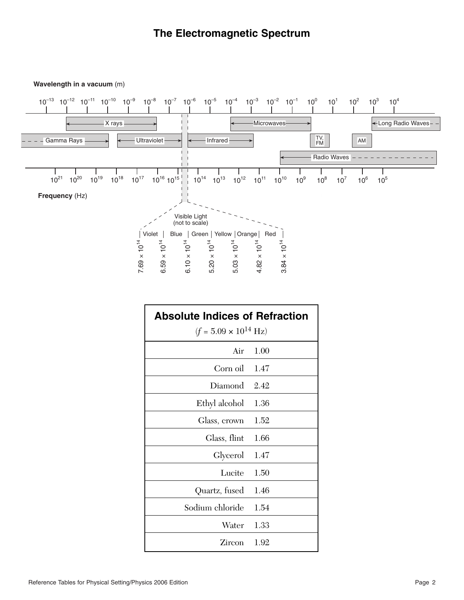## **The Electromagnetic Spectrum**

#### **Wavelength in a vacuum** (m)



| <b>Absolute Indices of Refraction</b>  |      |
|----------------------------------------|------|
| $(f = 5.09 \times 10^{14} \text{ Hz})$ |      |
| Air                                    | 1.00 |
| Corn oil                               | 1.47 |
| Diamond                                | 2.42 |
| Ethyl alcohol                          | 1.36 |
| Glass, crown                           | 1.52 |
| Glass, flint                           | 1.66 |
| Glycerol                               | 1.47 |
| Lucite                                 | 1.50 |
| Quartz, fused                          | 1.46 |
| Sodium chloride                        | 1.54 |
| Water                                  | 1.33 |
| Zircon                                 | 1.92 |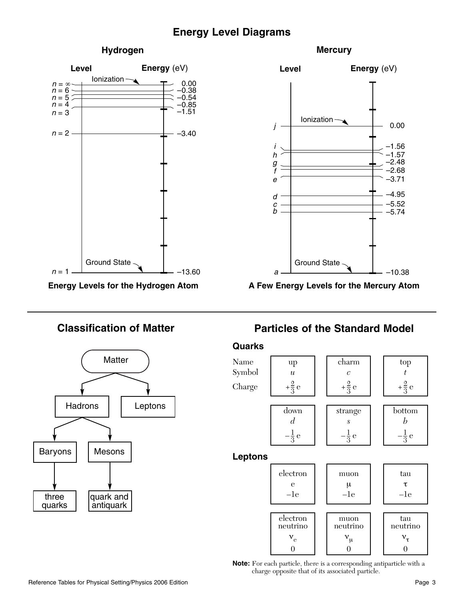## **Energy Level Diagrams**

#### **Hydrogen**



**Energy Levels for the Hydrogen Atom**







**A Few Energy Levels for the Mercury Atom**

# **Classification of Matter Particles of the Standard Model**

### **Quarks**



**Note:** For each particle, there is a corresponding antiparticle with a charge opposite that of its associated particle.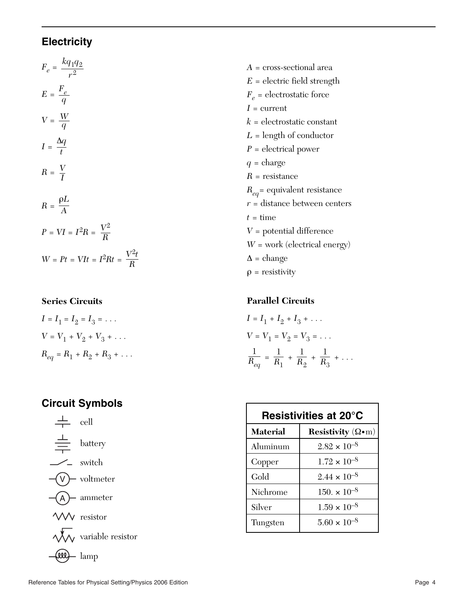## **Electricity**

$$
F_e = \frac{kq_1q_2}{r^2}
$$
  
\n
$$
E = \frac{F_e}{q}
$$
  
\n
$$
V = \frac{W}{q}
$$
  
\n
$$
I = \frac{\Delta q}{t}
$$
  
\n
$$
R = \frac{V}{I}
$$
  
\n
$$
R = \frac{\rho L}{A}
$$
  
\n
$$
P = VI = I^2 R = \frac{V^2}{R}
$$
  
\n
$$
W = Pt = VIt = I^2 Rt = \frac{V^2 t}{R}
$$

### **Series Circuits**

$$
I = I_1 = I_2 = I_3 = \dots
$$
  
\n
$$
V = V_1 + V_2 + V_3 + \dots
$$
  
\n
$$
R_{eq} = R_1 + R_2 + R_3 + \dots
$$

## **Circuit Symbols**



*A* = cross-sectional area  $E =$  electric field strength  $F_e$  = electrostatic force  $I =$  current  $k =$  electrostatic constant *L* = length of conductor *P* = electrical power  $q = \text{charge}$ *R* = resistance  $R_{eq}$ = equivalent resistance *r* = distance between centers  $t =$ time *V* = potential difference *W* = work (electrical energy)  $\Delta$  = change  $\rho$  = resistivity

### **Parallel Circuits**

$$
I = I_1 + I_2 + I_3 + \dots
$$
  
\n
$$
V = V_1 = V_2 = V_3 = \dots
$$
  
\n
$$
\frac{1}{R_{eq}} = \frac{1}{R_1} + \frac{1}{R_2} + \frac{1}{R_3} + \dots
$$

| Resistivities at 20°C |                                  |
|-----------------------|----------------------------------|
| <b>Material</b>       | Resistivity $(\Omega \bullet m)$ |
| Aluminum              | $2.82 \times 10^{-8}$            |
| Copper                | $1.72 \times 10^{-8}$            |
| Gold                  | $2.44 \times 10^{-8}$            |
| Nichrome              | $150 \times 10^{-8}$             |
| Silver                | $1.59 \times 10^{-8}$            |
| Tungsten              | $5.60 \times 10^{-8}$            |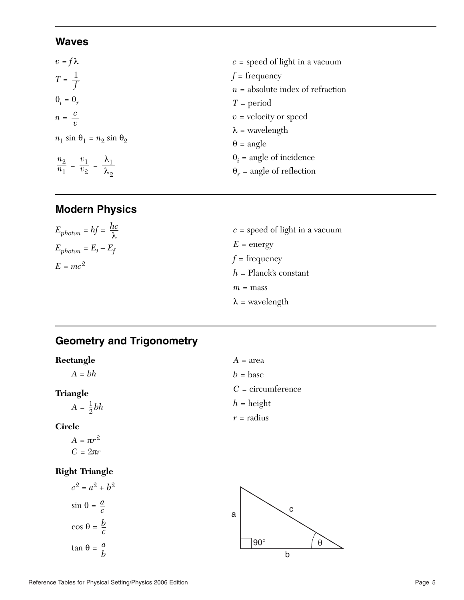## **Waves**

| $c =$ speed of light in a vacuum   |
|------------------------------------|
| $f = \text{frequency}$             |
| $n =$ absolute index of refraction |
| $T = period$                       |
| $v =$ velocity or speed            |
| $\lambda$ = wavelength             |
| $\theta$ = angle                   |
| $\theta_i$ = angle of incidence    |
| $\theta_r$ = angle of reflection   |
|                                    |

# **Modern Physics**

| $E_{photon} = hf = \frac{hc}{\lambda}$ | $c =$ speed of light in a vacuum                  |
|----------------------------------------|---------------------------------------------------|
| $E_{photon} = E_i - E_f$               | $E =$ energy                                      |
| $E = mc^2$                             | $f = \text{frequency}$<br>$h =$ Planck's constant |
|                                        | $m =$ mass                                        |
|                                        | $\lambda$ = wavelength                            |

# **Geometry and Trigonometry**

| Rectangle           | $A = \text{area}$   |
|---------------------|---------------------|
| $A = bh$            | $b = \text{base}$   |
| <b>Triangle</b>     | $C =$ circumference |
| $A = \frac{1}{2}bh$ | $h = \text{height}$ |
|                     | $r =$ radius        |
| <b>Circle</b>       |                     |

*A* =  $πr^2$  $C = 2\pi r$ 

## **Right Triangle**

$$
c^{2} = a^{2} + b^{2}
$$

$$
\sin \theta = \frac{a}{c}
$$

$$
\cos \theta = \frac{b}{c}
$$

$$
\tan \theta = \frac{a}{b}
$$